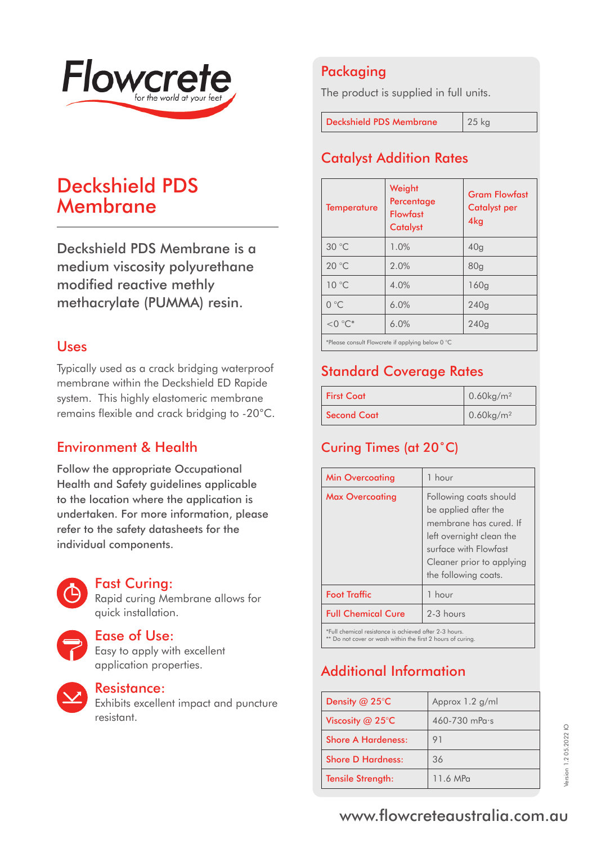

# Deckshield PDS Membrane

Deckshield PDS Membrane is a medium viscosity polyurethane modified reactive methly methacrylate (PUMMA) resin.

## Uses

Typically used as a crack bridging waterproof membrane within the Deckshield ED Rapide system. This highly elastomeric membrane remains flexible and crack bridging to -20°C.

## Environment & Health

Follow the appropriate Occupational Health and Safety guidelines applicable to the location where the application is undertaken. For more information, please refer to the safety datasheets for the individual components.



### Fast Curing:

Rapid curing Membrane allows for quick installation.



#### Ease of Use:

Easy to apply with excellent application properties.



### Resistance:

Exhibits excellent impact and puncture resistant.

## Packaging

The product is supplied in full units.

Deckshield PDS Membrane 25 kg

Catalyst Addition Rates

| <b>Temperature</b>                               | Weight<br>Percentage<br><b>Flowfast</b><br><b>Catalyst</b> | <b>Gram Flowfast</b><br><b>Catalyst per</b><br>4kg |
|--------------------------------------------------|------------------------------------------------------------|----------------------------------------------------|
| 30 °C                                            | 1.0%                                                       | 40 <sub>q</sub>                                    |
| 20 °C                                            | 2.0%                                                       | 80 <sub>q</sub>                                    |
| $10^{\circ}$ C                                   | 4.0%                                                       | 160q                                               |
| $0^{\circ}$ C                                    | 6.0%                                                       | 240q                                               |
| $<$ 0 $\degree$ C*                               | 6.0%                                                       | 240q                                               |
| *Please consult Flowcrete if applying below 0 °C |                                                            |                                                    |

## Standard Coverage Rates

| <b>First Coat</b> | $0.60$ kg/m <sup>2</sup> |
|-------------------|--------------------------|
| Second Coat       | $0.60$ kg/m <sup>2</sup> |

## Curing Times (at 20˚C)

| <b>Min Overcoating</b>                                 | 1 hour                                                                                                                                                                             |
|--------------------------------------------------------|------------------------------------------------------------------------------------------------------------------------------------------------------------------------------------|
| <b>Max Overcoating</b>                                 | Following coats should<br>be applied after the<br>membrane has cured. If<br>left overnight clean the<br>surface with Flowfast<br>Cleaner prior to applying<br>the following coats. |
| <b>Foot Traffic</b>                                    | 1 hour                                                                                                                                                                             |
| <b>Full Chemical Cure</b>                              | $2-3$ hours                                                                                                                                                                        |
| *Full chemical resistance is achieved after 2-3 hours. |                                                                                                                                                                                    |

\*\* Do not cover or wash within the first 2 hours of curing.

# Additional Information

| Density $@$ 25 $°C$        | Approx 1.2 g/ml   |
|----------------------------|-------------------|
| Viscosity @ 25 $\degree$ C | $460 - 730$ mPass |
| Shore A Hardeness:         | 91                |
| <b>Shore D Hardness:</b>   | 36                |
| <b>Tensile Strength:</b>   | 11.6 MP $\alpha$  |

# www.flowcreteaustralia.com.au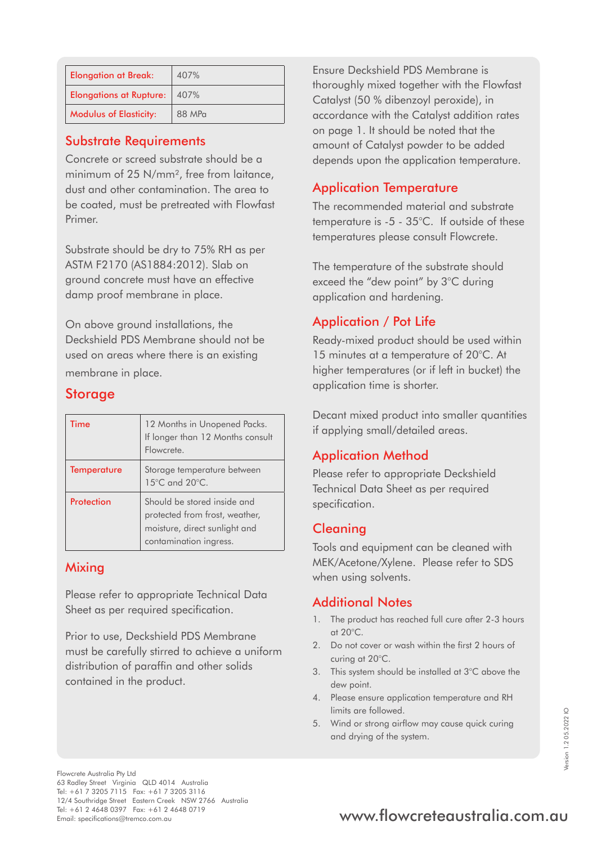| <b>Elongation at Break:</b>    | 407%   |
|--------------------------------|--------|
| <b>Elongations at Rupture:</b> | 1407%  |
| <b>Modulus of Elasticity:</b>  | 88 MPa |

### Substrate Requirements

Concrete or screed substrate should be a minimum of 25 N/mm², free from laitance, dust and other contamination. The area to be coated, must be pretreated with Flowfast Primer.

Substrate should be dry to 75% RH as per ASTM F2170 (AS1884:2012). Slab on ground concrete must have an effective damp proof membrane in place.

On above ground installations, the Deckshield PDS Membrane should not be used on areas where there is an existing membrane in place.

### **Storage**

| Time               | 12 Months in Unopened Packs.<br>If longer than 12 Months consult<br>Flowcrete.                                           |
|--------------------|--------------------------------------------------------------------------------------------------------------------------|
| <b>Temperature</b> | Storage temperature between<br>15°C and 20°C.                                                                            |
| Protection         | Should be stored inside and<br>protected from frost, weather,<br>moisture, direct sunlight and<br>contamination ingress. |

#### Mixing

Please refer to appropriate Technical Data Sheet as per required specification.

Prior to use, Deckshield PDS Membrane must be carefully stirred to achieve a uniform distribution of paraffin and other solids contained in the product.

Ensure Deckshield PDS Membrane is thoroughly mixed together with the Flowfast Catalyst (50 % dibenzoyl peroxide), in accordance with the Catalyst addition rates on page 1. It should be noted that the amount of Catalyst powder to be added depends upon the application temperature.

## Application Temperature

The recommended material and substrate temperature is -5 - 35°C. If outside of these temperatures please consult Flowcrete.

The temperature of the substrate should exceed the "dew point" by 3°C during application and hardening.

## Application / Pot Life

Ready-mixed product should be used within 15 minutes at a temperature of 20°C. At higher temperatures (or if left in bucket) the application time is shorter.

Decant mixed product into smaller quantities if applying small/detailed areas.

## Application Method

Please refer to appropriate Deckshield Technical Data Sheet as per required specification.

### Cleaning

Tools and equipment can be cleaned with MEK/Acetone/Xylene. Please refer to SDS when using solvents.

### Additional Notes

- 1. The product has reached full cure after 2-3 hours at 20°C.
- 2. Do not cover or wash within the first 2 hours of curing at 20°C.
- 3. This system should be installed at 3°C above the dew point.
- 4. Please ensure application temperature and RH limits are followed.
- 5. Wind or strong airflow may cause quick curing and drying of the system.

# Tel: +61 2 4648 0397 Fax: +61 2 4648 0719<br>Email: specifications@tremco.com.au **www.flowcreteaustralia.com.au**